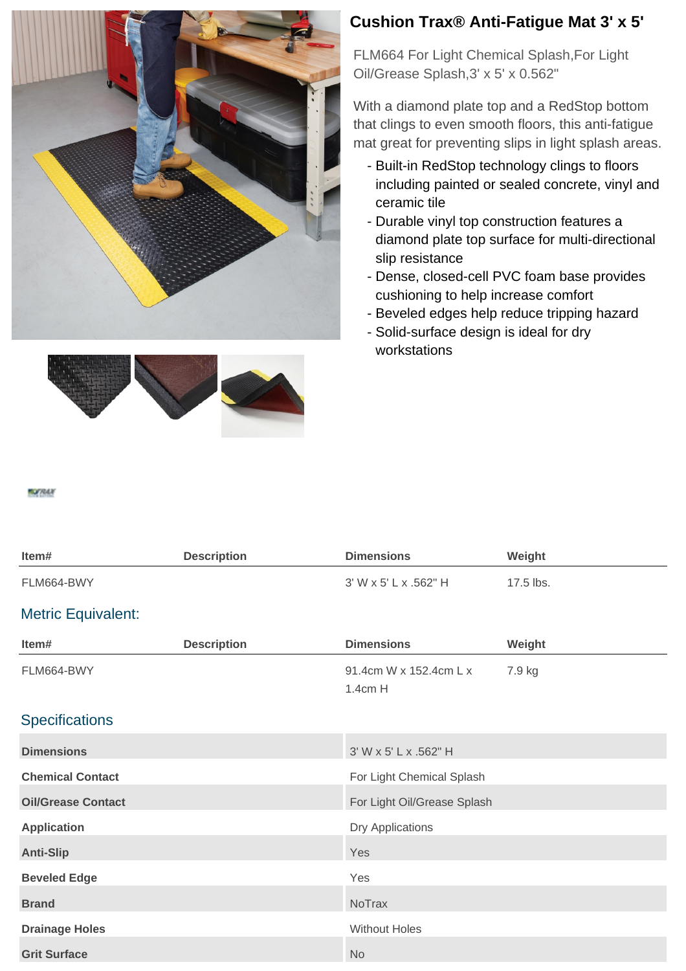



## **Cushion Trax® Anti-Fatigue Mat 3' x 5'**

FLM664 For Light Chemical Splash,For Light Oil/Grease Splash,3' x 5' x 0.562"

With a diamond plate top and a RedStop bottom that clings to even smooth floors, this anti-fatigue mat great for preventing slips in light splash areas.

- Built-in RedStop technology clings to floors including painted or sealed concrete, vinyl and ceramic tile
- Durable vinyl top construction features a diamond plate top surface for multi-directional slip resistance
- Dense, closed-cell PVC foam base provides cushioning to help increase comfort
- Beveled edges help reduce tripping hazard
- Solid-surface design is ideal for dry workstations

**MOTRALY** 

| Item#                     | <b>Description</b> | <b>Dimensions</b>                 | Weight    |
|---------------------------|--------------------|-----------------------------------|-----------|
| FLM664-BWY                |                    | 3' W x 5' L x .562" H             | 17.5 lbs. |
| <b>Metric Equivalent:</b> |                    |                                   |           |
| Item#                     | <b>Description</b> | <b>Dimensions</b>                 | Weight    |
| FLM664-BWY                |                    | 91.4cm W x 152.4cm L x<br>1.4cm H | 7.9 kg    |
| <b>Specifications</b>     |                    |                                   |           |
| <b>Dimensions</b>         |                    | 3' W x 5' L x .562" H             |           |
| <b>Chemical Contact</b>   |                    | For Light Chemical Splash         |           |
| <b>Oil/Grease Contact</b> |                    | For Light Oil/Grease Splash       |           |
| <b>Application</b>        |                    | Dry Applications                  |           |
| <b>Anti-Slip</b>          |                    | Yes                               |           |
| <b>Beveled Edge</b>       |                    | Yes                               |           |
| <b>Brand</b>              |                    | <b>NoTrax</b>                     |           |
| <b>Drainage Holes</b>     |                    | <b>Without Holes</b>              |           |
| <b>Grit Surface</b>       |                    | <b>No</b>                         |           |